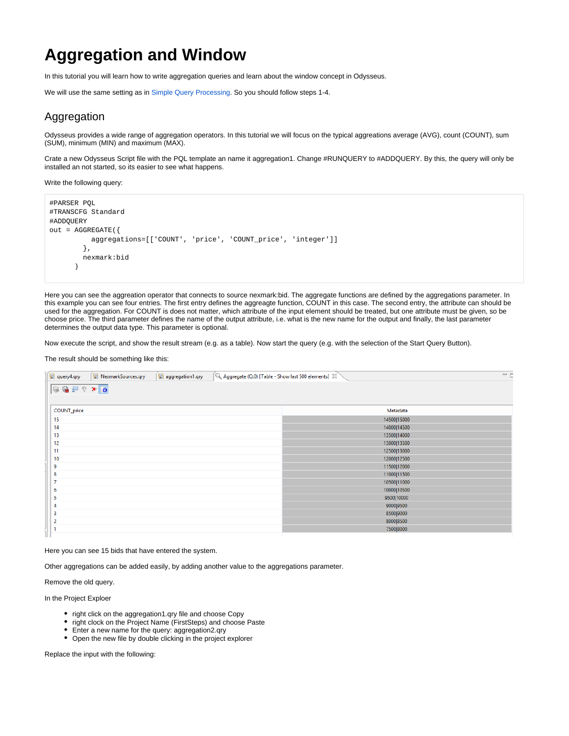# **Aggregation and Window**

In this tutorial you will learn how to write aggregation queries and learn about the window concept in Odysseus.

We will use the same setting as in [Simple Query Processing.](https://wiki.odysseus.informatik.uni-oldenburg.de/display/ODYSSEUS/Simple+Query+Processing) So you should follow steps 1-4.

## Aggregation

Odysseus provides a wide range of aggregation operators. In this tutorial we will focus on the typical aggreations average (AVG), count (COUNT), sum (SUM), minimum (MIN) and maximum (MAX).

Crate a new Odysseus Script file with the PQL template an name it aggregation1. Change #RUNQUERY to #ADDQUERY. By this, the query will only be installed an not started, so its easier to see what happens.

Write the following query:

```
#PARSER PQL
#TRANSCFG Standard
#ADDQUERY
out = AGGREGATE({
           aggregations=[['COUNT', 'price', 'COUNT_price', 'integer']]
         },
         nexmark:bid
       )
```
Here you can see the aggreation operator that connects to source nexmark:bid. The aggregate functions are defined by the aggregations parameter. In this example you can see four entries. The first entry defines the aggreagte function, COUNT in this case. The second entry, the attribute can should be used for the aggregation. For COUNT is does not matter, which attribute of the input element should be treated, but one attribute must be given, so be choose price. The third parameter defines the name of the output attribute, i.e. what is the new name for the output and finally, the last parameter determines the output data type. This parameter is optional.

Now execute the script, and show the result stream (e.g. as a table). Now start the query (e.g. with the selection of the Start Query Button).

#### The result should be something like this:

| query4.qry<br>NexmarkSources.qry<br>$\left[ \mathbb{Q}\right]$ Aggregate (Q:0) [Table - Show last 500 elements] $\boxtimes$<br>aggregation1.qry | $=$ E       |
|-------------------------------------------------------------------------------------------------------------------------------------------------|-------------|
| ◎参早マ*◎                                                                                                                                          |             |
| COUNT_price                                                                                                                                     | Metadata    |
| 15                                                                                                                                              | 14500 15000 |
| 14                                                                                                                                              | 14000 14500 |
| 13                                                                                                                                              | 13500 14000 |
| 12                                                                                                                                              | 13000 13500 |
| 11                                                                                                                                              | 12500 13000 |
| 10                                                                                                                                              | 12000 12500 |
| 9                                                                                                                                               | 11500 12000 |
| 8                                                                                                                                               | 11000 11500 |
| ÷                                                                                                                                               | 10500 11000 |
| 6                                                                                                                                               | 10000 10500 |
| 5                                                                                                                                               | 9500 10000  |
| 4                                                                                                                                               | 9000 9500   |
| 3                                                                                                                                               | 8500 9000   |
| 2                                                                                                                                               | 8000 8500   |
|                                                                                                                                                 | 7500 8000   |
|                                                                                                                                                 |             |

Here you can see 15 bids that have entered the system.

Other aggregations can be added easily, by adding another value to the aggregations parameter.

Remove the old query.

In the Project Exploer

- right click on the aggregation1.qry file and choose Copy
- right clock on the Project Name (FirstSteps) and choose Paste
- Enter a new name for the query: aggregation2.qry
- Open the new file by double clicking in the project explorer

Replace the input with the following: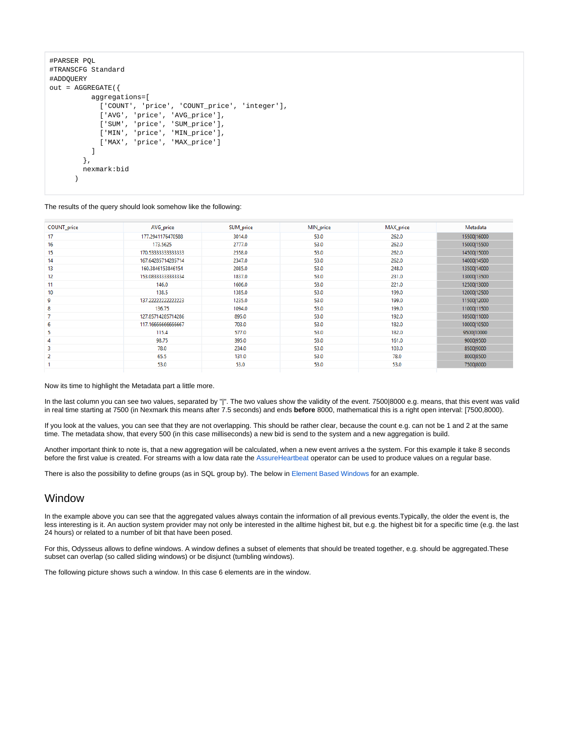```
#PARSER PQL
#TRANSCFG Standard
#ADDQUERY
out = AGGREGATE({
           aggregations=[
             ['COUNT', 'price', 'COUNT price', 'integer'],
              ['AVG', 'price', 'AVG_price'],
              ['SUM', 'price', 'SUM_price'],
              ['MIN', 'price', 'MIN_price'],
              ['MAX', 'price', 'MAX_price']
           ] 
         },
         nexmark:bid
\overline{\phantom{a}}
```
#### The results of the query should look somehow like the following:

| COUNT price | AVG_price           | SUM_price | MIN_price | MAX_price | Metadata    |
|-------------|---------------------|-----------|-----------|-----------|-------------|
| 17          | 177.2941176470588   | 3014.0    | 53.0      | 262.0     | 15500 16000 |
| 16          | 173,5625            | 2777.0    | 53.0      | 262.0     | 15000 15500 |
| 15          | 170.53333333333333  | 2558.0    | 53.0      | 262.0     | 14500 15000 |
| 14          | 167.64285714285714  | 2347.0    | 53.0      | 262.0     | 14000 14500 |
| 13          | 160.3846153846154   | 2085.0    | 53.0      | 248.0     | 13500 14000 |
| 12          | 153.08333333333334  | 1837.0    | 53.0      | 231.0     | 13000 13500 |
| 11          | 146.0               | 1606.0    | 53.0      | 221.0     | 12500 13000 |
| 10          | 138.5               | 1385.0    | 53.0      | 199.0     | 12000 12500 |
| 9           | 137.222222222222223 | 1235.0    | 53.0      | 199.0     | 11500 12000 |
| 8           | 136.75              | 1094.0    | 53.0      | 199.0     | 11000 11500 |
| ٠           | 127.85714285714286  | 895.0     | 53.0      | 192.0     | 10500 11000 |
| 6           | 117.1666666666667   | 703.0     | 53.0      | 182.0     | 10000 10500 |
| 5           | 115.4               | 577.0     | 53.0      | 182.0     | 9500 10000  |
| 4           | 98.75               | 395.0     | 53.0      | 161.0     | 9000 9500   |
| 3           | 78.0                | 234.0     | 53.0      | 103.0     | 8500 9000   |
| 2           | 65.5                | 131.0     | 53.0      | 78.0      | 8000 8500   |
|             | 53.0                | 53.0      | 53.0      | 53.0      | 7500 8000   |
|             |                     |           |           |           |             |

Now its time to highlight the Metadata part a little more.

In the last column you can see two values, separated by "|". The two values show the validity of the event. 7500|8000 e.g. means, that this event was valid in real time starting at 7500 (in Nexmark this means after 7.5 seconds) and ends **before** 8000, mathematical this is a right open interval: [7500,8000).

If you look at the values, you can see that they are not overlapping. This should be rather clear, because the count e.g. can not be 1 and 2 at the same time. The metadata show, that every 500 (in this case milliseconds) a new bid is send to the system and a new aggregation is build.

Another important think to note is, that a new aggregation will be calculated, when a new event arrives a the system. For this example it take 8 seconds before the first value is created. For streams with a low data rate the [AssureHeartbeat](https://wiki.odysseus.informatik.uni-oldenburg.de/display/ODYSSEUS/Heartbeat+operator) operator can be used to produce values on a regular base.

There is also the possibility to define groups (as in SQL group by). The below in [Element Based Windows](#page-6-0) for an example.

## Window

In the example above you can see that the aggregated values always contain the information of all previous events.Typically, the older the event is, the less interesting is it. An auction system provider may not only be interested in the alltime highest bit, but e.g. the highest bit for a specific time (e.g. the last 24 hours) or related to a number of bit that have been posed.

For this, Odysseus allows to define windows. A window defines a subset of elements that should be treated together, e.g. should be aggregated.These subset can overlap (so called sliding windows) or be disjunct (tumbling windows).

The following picture shows such a window. In this case 6 elements are in the window.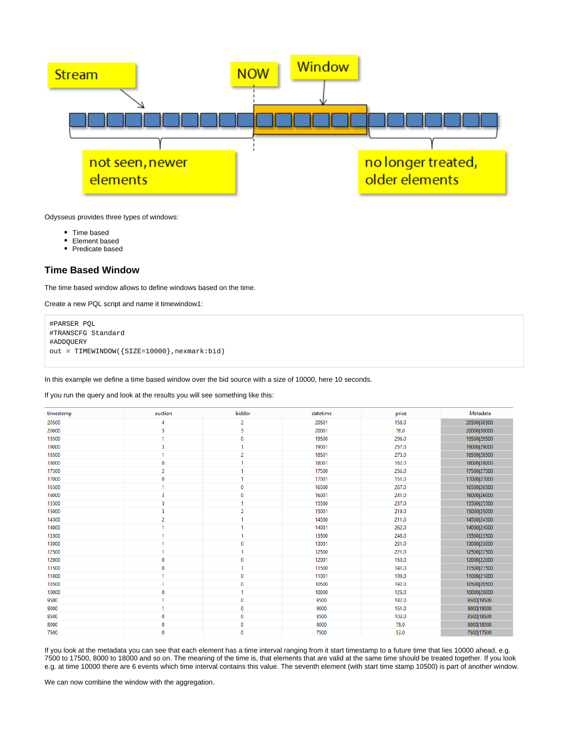

Odysseus provides three types of windows:

- Time based
- Element based
- Predicate based

## **Time Based Window**

The time based window allows to define windows based on the time.

Create a new PQL script and name it timewindow1:

```
#PARSER PQL
#TRANSCFG Standard
#ADDQUERY
out = TIMEWINDOW({SIZE=10000},nexmark:bid)
```
In this example we define a time based window over the bid source with a size of 10000, here 10 seconds.

If you run the query and look at the results you will see something like this:

| timestamp | auction        | bidder         | datetime | price | Metadata    |
|-----------|----------------|----------------|----------|-------|-------------|
| 20500     | 4              | $\overline{2}$ | 20501    | 158.0 | 20500 30500 |
| 20000     | 5              | 3              | 20001    | 76.0  | 20000 30000 |
| 19500     | 1              | 0              | 19500    | 296.0 | 19500 29500 |
| 19000     | 3              |                | 19001    | 257.0 | 19000 29000 |
| 18500     | 1              | $\overline{2}$ | 18501    | 273.0 | 18500 28500 |
| 18000     | 0              |                | 18001    | 162.0 | 18000 28000 |
| 17500     | 2              |                | 17500    | 236.0 | 17500 27500 |
| 17000     | 0              |                | 17001    | 151.0 | 17000 27000 |
| 16500     | 1              | 0              | 16500    | 267.0 | 16500 26500 |
| 16000     | 3              | $\bf{0}$       | 16001    | 241.0 | 16000 26000 |
| 15500     | 3              |                | 15500    | 237.0 | 15500 25500 |
| 15000     | 3              | $\overline{2}$ | 15001    | 219.0 | 15000 25000 |
| 14500     | $\overline{2}$ |                | 14500    | 211.0 | 14500 24500 |
| 14000     | ٠              |                | 14001    | 262.0 | 14000 24000 |
| 13500     | 1              |                | 13500    | 248.0 | 13500 23500 |
| 13000     | 1              | $\mathbf 0$    | 13001    | 231.0 | 13000 23000 |
| 12500     | 1              |                | 12500    | 221.0 | 12500 22500 |
| 12000     | 0              | $\mathbf 0$    | 12001    | 150.0 | 12000 22000 |
| 11500     | 0              | 1              | 11500    | 141.0 | 11500 21500 |
| 11000     | 1              | 0              | 11001    | 199.0 | 11000 21000 |
| 10500     | 1              | $\mathbf 0$    | 10500    | 192.0 | 10500 20500 |
| 10000     | 0              |                | 10000    | 126.0 | 10000 20000 |
| 9500      | 1.             | $\mathbf 0$    | 9500     | 182.0 | 9500 19500  |
| 9000      | 1              | $\bf{0}$       | 9000     | 161.0 | 9000 19000  |
| 8500      | 0              | $\mathbf 0$    | 8500     | 103.0 | 8500 18500  |
| 8000      | 0              | 0              | 8000     | 78.0  | 8000 18000  |
| 7500      | 0              | 0              | 7500     | 53.0  | 7500 17500  |

If you look at the metadata you can see that each element has a time interval ranging from it start timestamp to a future time that lies 10000 ahead, e.g. 7500 to 17500, 8000 to 18000 and so on. The meaning of the time is, that elements that are valid at the same time should be treated together. If you look e.g. at time 10000 there are 6 events which time interval contains this value. The seventh element (with start time stamp 10500) is part of another window.

We can now combine the window with the aggregation.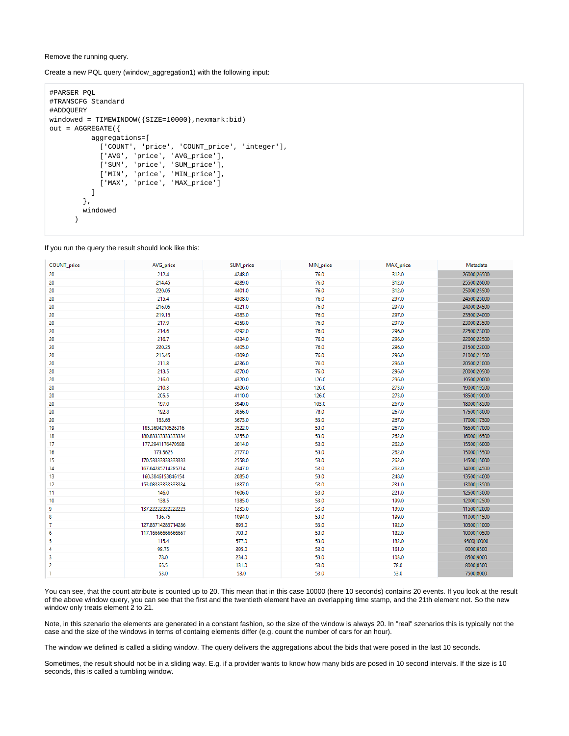Remove the running query.

#### Create a new PQL query (window\_aggregation1) with the following input:

```
#PARSER PQL
#TRANSCFG Standard
#ADDQUERY
windowed = TIMEWINDOW({SIZE=10000}, nexmark:bid)
out = AGGREGATE({
           aggregations=[
            ['COUNT', 'price', 'COUNT_price', 'integer'],
             ['AVG', 'price', 'AVG_price'],
             ['SUM', 'price', 'SUM_price'],
             ['MIN', 'price', 'MIN_price'],
             ['MAX', 'price', 'MAX_price']
 ] 
         },
         windowed
\overline{\phantom{a}}
```
If you run the query the result should look like this:

| COUNT_price    | AVG_price           | SUM_price | MIN_price | MAX_price | Metadata    |
|----------------|---------------------|-----------|-----------|-----------|-------------|
| 20             | 212.4               | 4248.0    | 76.0      | 312.0     | 26000 26500 |
| 20             | 214.45              | 4289.0    | 76.0      | 312.0     | 25500 26000 |
| 20             | 220.05              | 4401.0    | 76.0      | 312.0     | 25000 25500 |
| 20             | 215.4               | 4308.0    | 76.0      | 297.0     | 24500 25000 |
| 20             | 216.05              | 4321.0    | 76.0      | 297.0     | 24000 24500 |
| 20             | 219.15              | 4383.0    | 76.0      | 297.0     | 23500 24000 |
| 20             | 217.9               | 4358.0    | 76.0      | 297.0     | 23000 23500 |
| 20             | 214.6               | 4292.0    | 76.0      | 296.0     | 22500 23000 |
| 20             | 216.7               | 4334.0    | 76.0      | 296.0     | 22000 22500 |
| 20             | 220.25              | 4405.0    | 76.0      | 296.0     | 21500 22000 |
| 20             | 215.45              | 4309.0    | 76.0      | 296.0     | 21000 21500 |
| 20             | 211.8               | 4236.0    | 76.0      | 296.0     | 20500 21000 |
| 20             | 213.5               | 4270.0    | 76.0      | 296.0     | 20000 20500 |
| 20             | 216.0               | 4320.0    | 126.0     | 296.0     | 19500 20000 |
| 20             | 210.3               | 4206.0    | 126.0     | 273.0     | 19000 19500 |
| 20             | 205.5               | 4110.0    | 126.0     | 273.0     | 18500 19000 |
| 20             | 197.0               | 3940.0    | 103.0     | 267.0     | 18000 18500 |
| 20             | 192.8               | 3856.0    | 78.0      | 267.0     | 17500 18000 |
| 20             | 183.65              | 3673.0    | 53.0      | 267.0     | 17000 17500 |
| 19             | 185.3684210526316   | 3522.0    | 53.0      | 267.0     | 16500 17000 |
| 18             | 180.8333333333334   | 3255.0    | 53.0      | 262.0     | 16000 16500 |
| 17             | 177.2941176470588   | 3014.0    | 53.0      | 262.0     | 15500 16000 |
| 16             | 173.5625            | 2777.0    | 53.0      | 262.0     | 15000 15500 |
| 15             | 170.53333333333333  | 2558.0    | 53.0      | 262.0     | 14500 15000 |
| 14             | 167.64285714285714  | 2347.0    | 53.0      | 262.0     | 14000 14500 |
| 13             | 160.3846153846154   | 2085.0    | 53.0      | 248.0     | 13500 14000 |
| 12             | 153.08333333333334  | 1837.0    | 53.0      | 231.0     | 13000 13500 |
| 11             | 146.0               | 1606.0    | 53.0      | 221.0     | 12500 13000 |
| 10             | 138.5               | 1385.0    | 53.0      | 199.0     | 12000 12500 |
| 9              | 137.222222222222223 | 1235.0    | 53.0      | 199.0     | 11500 12000 |
| 8              | 136.75              | 1094.0    | 53.0      | 199.0     | 11000 11500 |
| 7              | 127.85714285714286  | 895.0     | 53.0      | 192.0     | 10500 11000 |
| 6              | 117.1666666666667   | 703.0     | 53.0      | 182.0     | 10000 10500 |
| 5              | 115.4               | 577.0     | 53.0      | 182.0     | 9500 10000  |
| 4              | 98.75               | 395.0     | 53.0      | 161.0     | 9000 9500   |
| 3              | 78.0                | 234.0     | 53.0      | 103.0     | 8500 9000   |
| $\overline{c}$ | 65.5                | 131.0     | 53.0      | 78.0      | 8000 8500   |
| $\mathbf{1}$   | 53.0                | 53.0      | 53.0      | 53.0      | 7500 8000   |

You can see, that the count attribute is counted up to 20. This mean that in this case 10000 (here 10 seconds) contains 20 events. If you look at the result of the above window query, you can see that the first and the twentieth element have an overlapping time stamp, and the 21th element not. So the new window only treats element 2 to 21.

Note, in this szenario the elements are generated in a constant fashion, so the size of the window is always 20. In "real" szenarios this is typically not the case and the size of the windows in terms of containg elements differ (e.g. count the number of cars for an hour).

The window we defined is called a sliding window. The query delivers the aggregations about the bids that were posed in the last 10 seconds.

Sometimes, the result should not be in a sliding way. E.g. if a provider wants to know how many bids are posed in 10 second intervals. If the size is 10 seconds, this is called a tumbling window.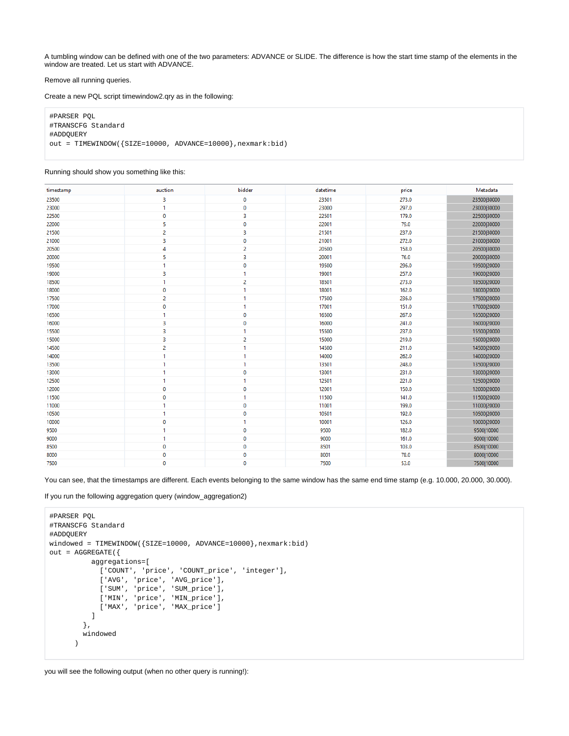A tumbling window can be defined with one of the two parameters: ADVANCE or SLIDE. The difference is how the start time stamp of the elements in the window are treated. Let us start with ADVANCE.

#### Remove all running queries.

Create a new PQL script timewindow2.qry as in the following:

#PARSER PQL #TRANSCFG Standard #ADDQUERY out = TIMEWINDOW({SIZE=10000, ADVANCE=10000},nexmark:bid)

#### Running should show you something like this:

| timestamp | auction        | bidder         | datetime | price | Metadata    |
|-----------|----------------|----------------|----------|-------|-------------|
| 23500     | 3              | 0              | 23501    | 273.0 | 23500 30000 |
| 23000     | 1              | 0              | 23000    | 297.0 | 23000 30000 |
| 22500     | $\bf{0}$       | 3              | 22501    | 179.0 | 22500 30000 |
| 22000     | 5              | 0              | 22001    | 79.0  | 22000 30000 |
| 21500     | $\overline{2}$ | 3              | 21501    | 237.0 | 21500 30000 |
| 21000     | 3              | 0              | 21001    | 272.0 | 21000 30000 |
| 20500     | 4              | 2              | 20500    | 158.0 | 20500 30000 |
| 20000     | 5              | 3              | 20001    | 76.0  | 20000 30000 |
| 19500     | $\mathbf{1}$   | 0              | 19500    | 296.0 | 19500 20000 |
| 19000     | 3              | 1.             | 19001    | 257.0 | 19000 20000 |
| 18500     | 1              | $\overline{2}$ | 18501    | 273.0 | 18500 20000 |
| 18000     | 0              | 1              | 18001    | 162.0 | 18000 20000 |
| 17500     | 2              | 1              | 17500    | 236.0 | 17500 20000 |
| 17000     | $\mathbf 0$    | 1              | 17001    | 151.0 | 17000 20000 |
| 16500     | 1              | 0              | 16500    | 267.0 | 16500 20000 |
| 16000     | 3              | 0              | 16000    | 241.0 | 16000 20000 |
| 15500     | 3              | 1              | 15500    | 237.0 | 15500 20000 |
| 15000     | 3              | 2              | 15000    | 219.0 | 15000 20000 |
| 14500     | $\overline{2}$ | 1              | 14500    | 211.0 | 14500 20000 |
| 14000     | 1              | 1              | 14000    | 262.0 | 14000 20000 |
| 13500     | 1              | 1              | 13501    | 248.0 | 13500 20000 |
| 13000     | 1              | 0              | 13001    | 231.0 | 13000 20000 |
| 12500     | $\mathbf{1}$   | 1              | 12501    | 221.0 | 12500 20000 |
| 12000     | 0              | 0              | 12001    | 150.0 | 12000 20000 |
| 11500     | $\bf{0}$       | 1              | 11500    | 141.0 | 11500 20000 |
| 11000     | 1              | 0              | 11001    | 199.0 | 11000 20000 |
| 10500     | 1              | 0              | 10501    | 192.0 | 10500 20000 |
| 10000     | $\mathbf 0$    | 1.             | 10001    | 126.0 | 10000 20000 |
| 9500      | 1              | 0              | 9500     | 182.0 | 9500 10000  |
| 9000      | $\mathbf{1}$   | 0              | 9000     | 161.0 | 9000 10000  |
| 8500      | $\mathbf 0$    | 0              | 8501     | 103.0 | 8500 10000  |
| 8000      | $\mathbf 0$    | 0              | 8001     | 78.0  | 8000 10000  |
| 7500      | 0              | 0              | 7500     | 53.0  | 7500 10000  |

You can see, that the timestamps are different. Each events belonging to the same window has the same end time stamp (e.g. 10.000, 20.000, 30.000).

If you run the following aggregation query (window\_aggregation2)

```
#PARSER PQL
#TRANSCFG Standard
#ADDQUERY
windowed = TIMEWINDOW({SIZE=10000, ADVANCE=10000},nexmark:bid)
out = AGGREGATE({
          aggregations=[
            ['COUNT', 'price', 'COUNT_price', 'integer'],
            ['AVG', 'price', 'AVG_price'],
 ['SUM', 'price', 'SUM_price'],
 ['MIN', 'price', 'MIN_price'],
            ['MAX', 'price', 'MAX_price']
          ] 
        },
        windowed
       )
```
you will see the following output (when no other query is running!):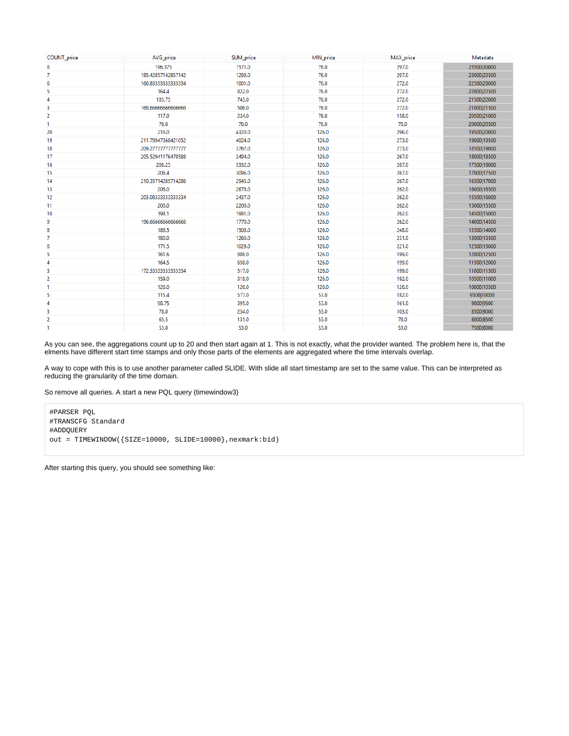| COUNT_price    | AVG_price           | SUM_price | MIN_price | MAX_price | Metadata    |
|----------------|---------------------|-----------|-----------|-----------|-------------|
| 8              | 196.375             | 1571.0    | 76.0      | 297.0     | 23500 30000 |
| 7              | 185.42857142857142  | 1298.0    | 76.0      | 297.0     | 23000 23500 |
| 6              | 166.83333333333334  | 1001.0    | 76.0      | 272.0     | 22500 23000 |
| 5              | 164.4               | 822.0     | 76.0      | 272.0     | 22000 22500 |
| 4              | 185.75              | 743.0     | 76.0      | 272.0     | 21500 22000 |
| 3              | 168.6666666666666   | 506.0     | 76.0      | 272.0     | 21000 21500 |
| 2              | 117.0               | 234.0     | 76.0      | 158.0     | 20500 21000 |
| 1              | 76.0                | 76.0      | 76.0      | 76.0      | 20000 20500 |
| 20             | 216.0               | 4320.0    | 126.0     | 296.0     | 19500 20000 |
| 19             | 211.78947368421052  | 4024.0    | 126.0     | 273.0     | 19000 19500 |
| 18             | 209.277777777777777 | 3767.0    | 126.0     | 273.0     | 18500 19000 |
| 17             | 205.52941176470588  | 3494.0    | 126.0     | 267.0     | 18000 18500 |
| 16             | 208.25              | 3332.0    | 126.0     | 267.0     | 17500 18000 |
| 15             | 206.4               | 3096.0    | 126.0     | 267.0     | 17000 17500 |
| 14             | 210.35714285714286  | 2945.0    | 126.0     | 267.0     | 16500 17000 |
| 13             | 206.0               | 2678.0    | 126.0     | 262.0     | 16000 16500 |
| 12             | 203.08333333333334  | 2437.0    | 126.0     | 262.0     | 15500 16000 |
| 11             | 200.0               | 2200.0    | 126.0     | 262.0     | 15000 15500 |
| 10             | 198.1               | 1981.0    | 126.0     | 262.0     | 14500 15000 |
| 9              | 196.6666666666666   | 1770.0    | 126.0     | 262.0     | 14000 14500 |
| 8              | 188.5               | 1508.0    | 126.0     | 248.0     | 13500 14000 |
| 7              | 180.0               | 1260.0    | 126.0     | 231.0     | 13000 13500 |
| 6              | 171.5               | 1029.0    | 126.0     | 221.0     | 12500 13000 |
| 5              | 161.6               | 808.0     | 126.0     | 199.0     | 12000 12500 |
| 4              | 164.5               | 658.0     | 126.0     | 199.0     | 11500 12000 |
| 3              | 172.33333333333334  | 517.0     | 126.0     | 199.0     | 11000 11500 |
| $\overline{2}$ | 159.0               | 318.0     | 126.0     | 192.0     | 10500 11000 |
| $\mathbf{1}$   | 126.0               | 126.0     | 126.0     | 126.0     | 10000 10500 |
| 5              | 115.4               | 577.0     | 53.0      | 182.0     | 9500 10000  |
| 4              | 98.75               | 395.0     | 53.0      | 161.0     | 9000 9500   |
| 3              | 78.0                | 234.0     | 53.0      | 103.0     | 8500 9000   |
| 2              | 65.5                | 131.0     | 53.0      | 78.0      | 8000 8500   |
| 1              | 53.0                | 53.0      | 53.0      | 53.0      | 7500 8000   |

As you can see, the aggregations count up to 20 and then start again at 1. This is not exactly, what the provider wanted. The problem here is, that the elments have different start time stamps and only those parts of the elements are aggregated where the time intervals overlap.

A way to cope with this is to use another parameter called SLIDE. With slide all start timestamp are set to the same value. This can be interpreted as reducing the granularity of the time domain.

So remove all queries. A start a new PQL query (timewindow3)

#PARSER PQL #TRANSCFG Standard #ADDQUERY out = TIMEWINDOW({SIZE=10000, SLIDE=10000},nexmark:bid)

After starting this query, you should see something like: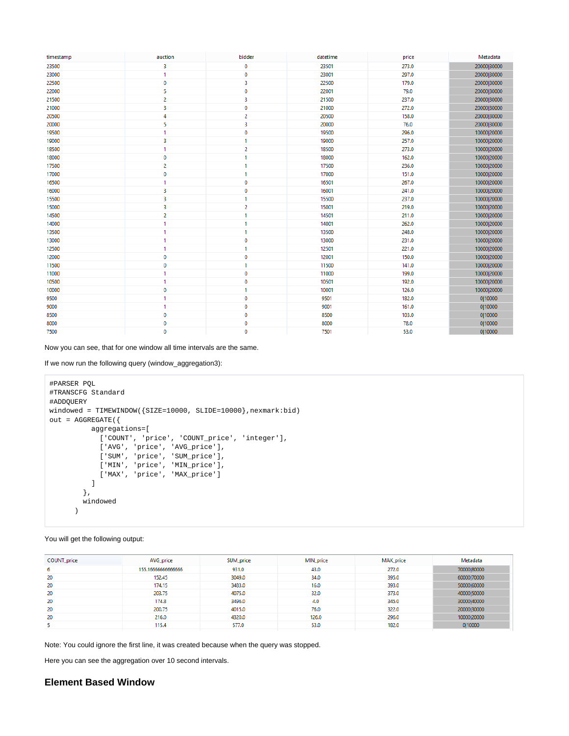| timestamp | auction        | bidder         | datetime | price | Metadata    |
|-----------|----------------|----------------|----------|-------|-------------|
| 23500     | 3              | 0              | 23501    | 273.0 | 20000 30000 |
| 23000     | $\mathbf{1}$   | 0              | 23001    | 297.0 | 20000 30000 |
| 22500     | $\mathbf 0$    | з              | 22500    | 179.0 | 20000 30000 |
| 22000     | 5              | 0              | 22001    | 79.0  | 20000 30000 |
| 21500     | $\overline{2}$ | 3              | 21500    | 237.0 | 20000 30000 |
| 21000     | 3              | $\mathbf 0$    | 21000    | 272.0 | 20000 30000 |
| 20500     | 4              | $\overline{c}$ | 20500    | 158.0 | 20000 30000 |
| 20000     | 5              | 3              | 20000    | 76.0  | 20000 30000 |
| 19500     | $\mathbf{1}$   | $\mathbf 0$    | 19500    | 296.0 | 10000 20000 |
| 19000     | 3              | 1              | 19000    | 257.0 | 10000 20000 |
| 18500     | $\mathbf{1}$   | $\overline{2}$ | 18500    | 273.0 | 10000 20000 |
| 18000     | $\bf{0}$       | 1              | 18000    | 162.0 | 10000 20000 |
| 17500     | 2              | 1              | 17500    | 236.0 | 10000 20000 |
| 17000     | $\mathbf 0$    | 1              | 17000    | 151.0 | 10000 20000 |
| 16500     | $\mathbf{1}$   | 0              | 16501    | 267.0 | 10000 20000 |
| 16000     | 3              | 0              | 16001    | 241.0 | 10000 20000 |
| 15500     | 3              | 1              | 15500    | 237.0 | 10000 20000 |
| 15000     | 3              | 2              | 15001    | 219.0 | 10000 20000 |
| 14500     | $\overline{2}$ | 1              | 14501    | 211.0 | 10000 20000 |
| 14000     | $\mathbf{1}$   | 1              | 14001    | 262.0 | 10000 20000 |
| 13500     | $\mathbf{1}$   | 1              | 13500    | 248.0 | 10000 20000 |
| 13000     | $\mathbf{1}$   | 0              | 13000    | 231.0 | 10000 20000 |
| 12500     | 1              | 1              | 12501    | 221.0 | 10000 20000 |
| 12000     | $\mathbf 0$    | $\mathbf 0$    | 12001    | 150.0 | 10000 20000 |
| 11500     | $\mathbf 0$    | 1              | 11500    | 141.0 | 10000 20000 |
| 11000     | $\mathbf{1}$   | $\mathbf 0$    | 11000    | 199.0 | 10000 20000 |
| 10500     | $\mathbf{1}$   | 0              | 10501    | 192.0 | 10000 20000 |
| 10000     | $\mathbf 0$    | 1              | 10001    | 126.0 | 10000 20000 |
| 9500      | $\mathbf{1}$   | $\bf{0}$       | 9501     | 182.0 | 0 10000     |
| 9000      | 1              | 0              | 9001     | 161.0 | 0 10000     |
| 8500      | 0              | $\mathbf 0$    | 8500     | 103.0 | 0 10000     |
| 8000      | 0              | 0              | 8000     | 78.0  | 0 10000     |
| 7500      | $\mathbf 0$    | $\mathbf{0}$   | 7501     | 53.0  | 0 10000     |

Now you can see, that for one window all time intervals are the same.

If we now run the following query (window\_aggregation3):

```
#PARSER PQL
#TRANSCFG Standard
#ADDQUERY
windowed = TIMEWINDOW({SIZE=10000, SLIDE=10000},nexmark:bid)
out = AGGREGATE({
         aggregations=[
           ['COUNT', 'price', 'COUNT_price', 'integer'],
 ['AVG', 'price', 'AVG_price'],
 ['SUM', 'price', 'SUM_price'],
 ['MIN', 'price', 'MIN_price'],
 ['MAX', 'price', 'MAX_price']
        \Box },
        windowed
      )
```
You will get the following output:

| COUNT_price | AVG_price         | SUM_price | MIN price | MAX_price | Metadata    |
|-------------|-------------------|-----------|-----------|-----------|-------------|
| 6           | 155.1666666666666 | 931.0     | 43.0      | 272.0     | 70000 80000 |
| 20          | 152,45            | 3049.0    | 34.0      | 395.0     | 60000 70000 |
| 20          | 174.15            | 3483.0    | 16.0      | 393.0     | 50000160000 |
| 20          | 203.75            | 4075.0    | 32.0      | 373.0     | 40000150000 |
| 20          | 174.8             | 3496.0    | 4.0       | 345.0     | 30000 40000 |
| 20          | 200.75            | 4015.0    | 76.0      | 322.0     | 20000 30000 |
| 20          | 216.0             | 4320.0    | 126.0     | 296.0     | 10000 20000 |
|             | 115.4             | 577.0     | 53.0      | 182.0     | 0 10000     |

Note: You could ignore the first line, it was created because when the query was stopped.

Here you can see the aggregation over 10 second intervals.

## <span id="page-6-0"></span>**Element Based Window**